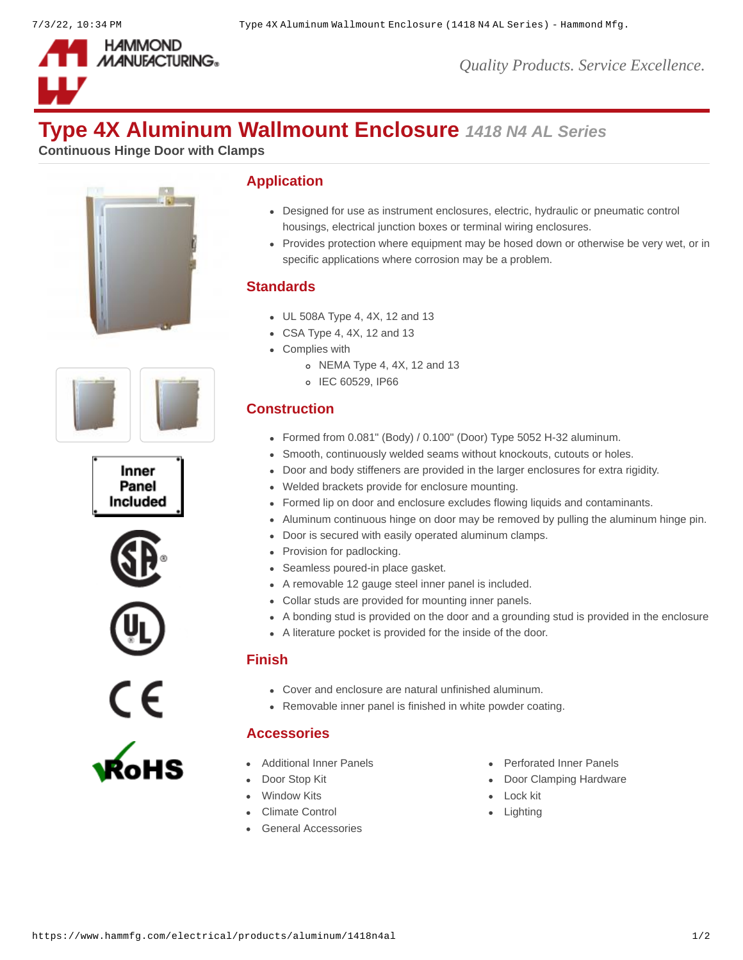

# **Type 4X Aluminum Wallmount Enclosure** *1418 N4 AL Series*

**Continuous Hinge Door with Clamps**













### **Application**

- Designed for use as instrument enclosures, electric, hydraulic or pneumatic control housings, electrical junction boxes or terminal wiring enclosures.
- Provides protection where equipment may be hosed down or otherwise be very wet, or in specific applications where corrosion may be a problem.

#### **Standards**

- UL 508A Type 4, 4X, 12 and 13
- CSA Type 4, 4X, 12 and 13
- Complies with
	- NEMA Type 4, 4X, 12 and 13
	- o IEC 60529, IP66

#### **Construction**

- Formed from 0.081" (Body) / 0.100" (Door) Type 5052 H-32 aluminum.
- Smooth, continuously welded seams without knockouts, cutouts or holes.
- Door and body stiffeners are provided in the larger enclosures for extra rigidity.
- Welded brackets provide for enclosure mounting.
- Formed lip on door and enclosure excludes flowing liquids and contaminants.
- Aluminum continuous hinge on door may be removed by pulling the aluminum hinge pin.
- Door is secured with easily operated aluminum clamps.
- Provision for padlocking.
- Seamless poured-in place gasket.
- A removable 12 gauge steel inner panel is included.
- Collar studs are provided for mounting inner panels.
- A bonding stud is provided on the door and a grounding stud is provided in the enclosure
- A literature pocket is provided for the inside of the door.

#### **Finish**

- Cover and enclosure are natural unfinished aluminum.
- Removable inner panel is finished in white powder coating.

#### **Accessories**

- 
- 
- [Window Kits](https://www.hammfg.com/electrical/products/accessories/window?referer=108&itm_type=accessory) **Communist Communist Communist Communist Communist Communist Communist Communist Communist Communist Communist Communist Communist Communist Communist Communist Communist Communist Communist Communist Communist**
- [Climate Control](https://www.hammfg.com/electrical/products/climate?referer=108&itm_type=accessory) **Control Climate Control**
- [General Accessories](https://www.hammfg.com/electrical/products/accessories?referer=108&itm_type=accessory)
- [Additional Inner Panels](https://www.hammfg.com/electrical/products/accessories/18p?referer=108&itm_type=accessory) **Additional Inner Panels** [Perforated Inner Panels](https://www.hammfg.com/electrical/products/accessories/18pp?referer=108&itm_type=accessory)
- [Door Stop Kit](https://www.hammfg.com/electrical/products/accessories/dstopk?referer=108&itm_type=accessory) **[Door Clamping Hardware](https://www.hammfg.com/electrical/products/accessories/1481hc?referer=108&itm_type=accessory)** 
	-
	-